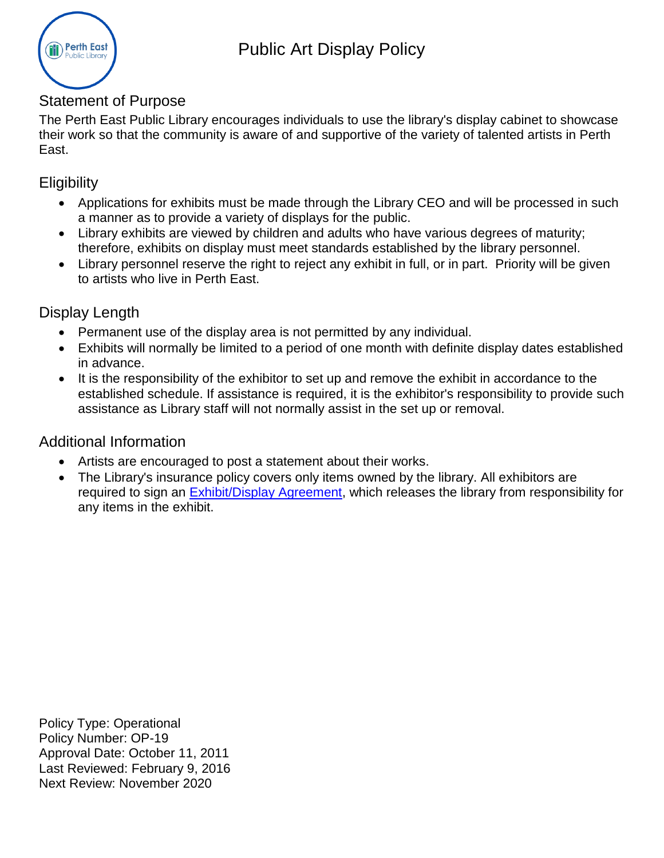

## Statement of Purpose

The Perth East Public Library encourages individuals to use the library's display cabinet to showcase their work so that the community is aware of and supportive of the variety of talented artists in Perth East.

## **Eligibility**

- Applications for exhibits must be made through the Library CEO and will be processed in such a manner as to provide a variety of displays for the public.
- Library exhibits are viewed by children and adults who have various degrees of maturity; therefore, exhibits on display must meet standards established by the library personnel.
- Library personnel reserve the right to reject any exhibit in full, or in part. Priority will be given to artists who live in Perth East.

## Display Length

- Permanent use of the display area is not permitted by any individual.
- Exhibits will normally be limited to a period of one month with definite display dates established in advance.
- It is the responsibility of the exhibitor to set up and remove the exhibit in accordance to the established schedule. If assistance is required, it is the exhibitor's responsibility to provide such assistance as Library staff will not normally assist in the set up or removal.

## Additional Information

- Artists are encouraged to post a statement about their works.
- The Library's insurance policy covers only items owned by the library. All exhibitors are required to sign an [Exhibit/Display Agreement,](#page-1-0) which releases the library from responsibility for any items in the exhibit.

Policy Type: Operational Policy Number: OP-19 Approval Date: October 11, 2011 Last Reviewed: February 9, 2016 Next Review: November 2020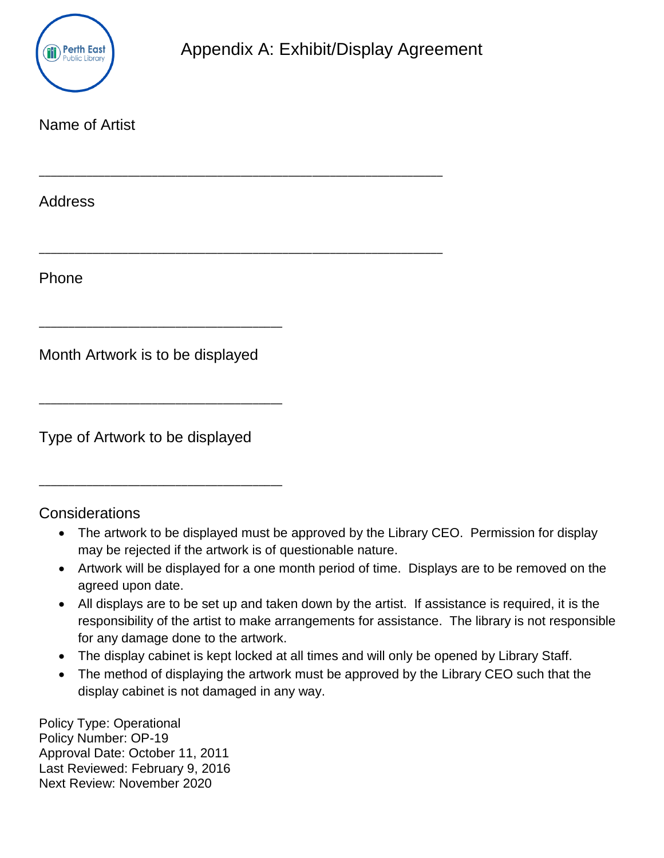

<span id="page-1-0"></span>

| Name of Artist                   |  |
|----------------------------------|--|
| <b>Address</b>                   |  |
| Phone                            |  |
| Month Artwork is to be displayed |  |
| Type of Artwork to be displayed  |  |

**Considerations** 

- The artwork to be displayed must be approved by the Library CEO. Permission for display may be rejected if the artwork is of questionable nature.
- Artwork will be displayed for a one month period of time. Displays are to be removed on the agreed upon date.
- All displays are to be set up and taken down by the artist. If assistance is required, it is the responsibility of the artist to make arrangements for assistance. The library is not responsible for any damage done to the artwork.
- The display cabinet is kept locked at all times and will only be opened by Library Staff.
- The method of displaying the artwork must be approved by the Library CEO such that the display cabinet is not damaged in any way.

Policy Type: Operational Policy Number: OP-19 Approval Date: October 11, 2011 Last Reviewed: February 9, 2016 Next Review: November 2020